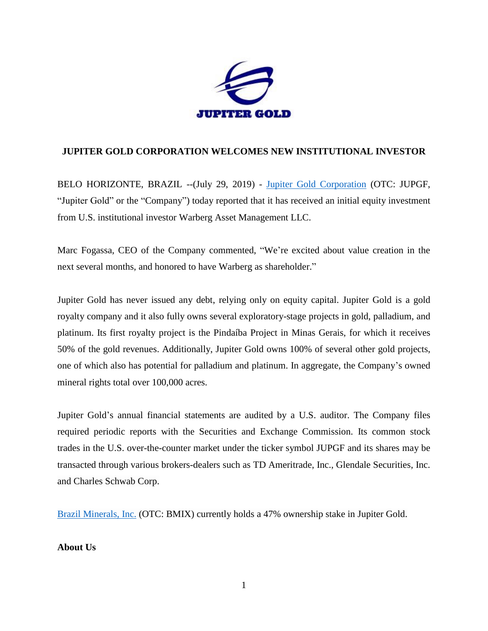

## **JUPITER GOLD CORPORATION WELCOMES NEW INSTITUTIONAL INVESTOR**

BELO HORIZONTE, BRAZIL --(July 29, 2019) - [Jupiter Gold Corporation](http://www.jupitergoldcorp.com/) (OTC: JUPGF, "Jupiter Gold" or the "Company") today reported that it has received an initial equity investment from U.S. institutional investor Warberg Asset Management LLC.

Marc Fogassa, CEO of the Company commented, "We're excited about value creation in the next several months, and honored to have Warberg as shareholder."

Jupiter Gold has never issued any debt, relying only on equity capital. Jupiter Gold is a gold royalty company and it also fully owns several exploratory-stage projects in gold, palladium, and platinum. Its first royalty project is the Pindaíba Project in Minas Gerais, for which it receives 50% of the gold revenues. Additionally, Jupiter Gold owns 100% of several other gold projects, one of which also has potential for palladium and platinum. In aggregate, the Company's owned mineral rights total over 100,000 acres.

Jupiter Gold's annual financial statements are audited by a U.S. auditor. The Company files required periodic reports with the Securities and Exchange Commission. Its common stock trades in the U.S. over-the-counter market under the ticker symbol JUPGF and its shares may be transacted through various brokers-dealers such as TD Ameritrade, Inc., Glendale Securities, Inc. and Charles Schwab Corp.

[Brazil Minerals, Inc.](http://www.twitter.com/BMIXstock) (OTC: BMIX) currently holds a 47% ownership stake in Jupiter Gold.

## **About Us**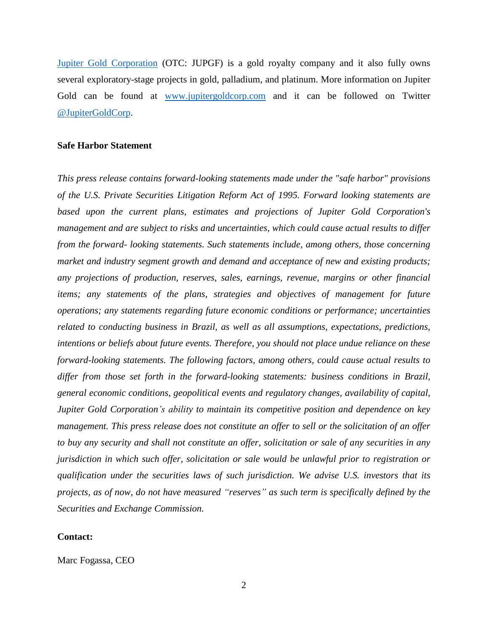[Jupiter Gold Corporation](http://www.jupitergoldcorp.com/) (OTC: JUPGF) is a gold royalty company and it also fully owns several exploratory-stage projects in gold, palladium, and platinum. More information on Jupiter Gold can be found at [www.jupitergoldcorp.com](http://www.jupitergoldcorp.com/) and it can be followed on Twitter [@JupiterGoldCorp.](http://www.twitter.com/JupiterGoldCorp)

## **Safe Harbor Statement**

*This press release contains forward-looking statements made under the "safe harbor" provisions of the U.S. Private Securities Litigation Reform Act of 1995. Forward looking statements are based upon the current plans, estimates and projections of Jupiter Gold Corporation's management and are subject to risks and uncertainties, which could cause actual results to differ from the forward- looking statements. Such statements include, among others, those concerning market and industry segment growth and demand and acceptance of new and existing products; any projections of production, reserves, sales, earnings, revenue, margins or other financial items; any statements of the plans, strategies and objectives of management for future operations; any statements regarding future economic conditions or performance; uncertainties related to conducting business in Brazil, as well as all assumptions, expectations, predictions, intentions or beliefs about future events. Therefore, you should not place undue reliance on these forward-looking statements. The following factors, among others, could cause actual results to differ from those set forth in the forward-looking statements: business conditions in Brazil, general economic conditions, geopolitical events and regulatory changes, availability of capital, Jupiter Gold Corporation's ability to maintain its competitive position and dependence on key management. This press release does not constitute an offer to sell or the solicitation of an offer to buy any security and shall not constitute an offer, solicitation or sale of any securities in any jurisdiction in which such offer, solicitation or sale would be unlawful prior to registration or qualification under the securities laws of such jurisdiction. We advise U.S. investors that its projects, as of now, do not have measured "reserves" as such term is specifically defined by the Securities and Exchange Commission.*

## **Contact:**

Marc Fogassa, CEO